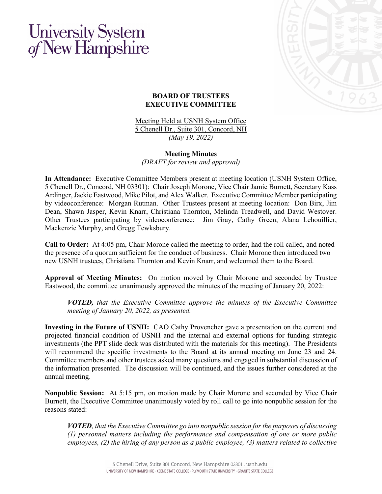## University System<br>of New Hampshire



## **BOARD OF TRUSTEES EXECUTIVE COMMITTEE**

Meeting Held at USNH System Office 5 Chenell Dr., Suite 301, Concord, NH *(May 19, 2022)*

## **Meeting Minutes**

*(DRAFT for review and approval)*

**In Attendance:** Executive Committee Members present at meeting location (USNH System Office, 5 Chenell Dr., Concord, NH 03301): Chair Joseph Morone, Vice Chair Jamie Burnett, Secretary Kass Ardinger, Jackie Eastwood, Mike Pilot, and Alex Walker. Executive Committee Member participating by videoconference: Morgan Rutman. Other Trustees present at meeting location: Don Birx, Jim Dean, Shawn Jasper, Kevin Knarr, Christiana Thornton, Melinda Treadwell, and David Westover. Other Trustees participating by videoconference: Jim Gray, Cathy Green, Alana Lehouillier, Mackenzie Murphy, and Gregg Tewksbury.

**Call to Order:** At 4:05 pm, Chair Morone called the meeting to order, had the roll called, and noted the presence of a quorum sufficient for the conduct of business. Chair Morone then introduced two new USNH trustees, Christiana Thornton and Kevin Knarr, and welcomed them to the Board.

**Approval of Meeting Minutes:** On motion moved by Chair Morone and seconded by Trustee Eastwood, the committee unanimously approved the minutes of the meeting of January 20, 2022:

*VOTED, that the Executive Committee approve the minutes of the Executive Committee meeting of January 20, 2022, as presented.*

**Investing in the Future of USNH:** CAO Cathy Provencher gave a presentation on the current and projected financial condition of USNH and the internal and external options for funding strategic investments (the PPT slide deck was distributed with the materials for this meeting). The Presidents will recommend the specific investments to the Board at its annual meeting on June 23 and 24. Committee members and other trustees asked many questions and engaged in substantial discussion of the information presented. The discussion will be continued, and the issues further considered at the annual meeting.

**Nonpublic Session:** At 5:15 pm, on motion made by Chair Morone and seconded by Vice Chair Burnett, the Executive Committee unanimously voted by roll call to go into nonpublic session for the reasons stated:

*VOTED, that the Executive Committee go into nonpublic session for the purposes of discussing (1) personnel matters including the performance and compensation of one or more public employees, (2) the hiring of any person as a public employee, (3) matters related to collective*